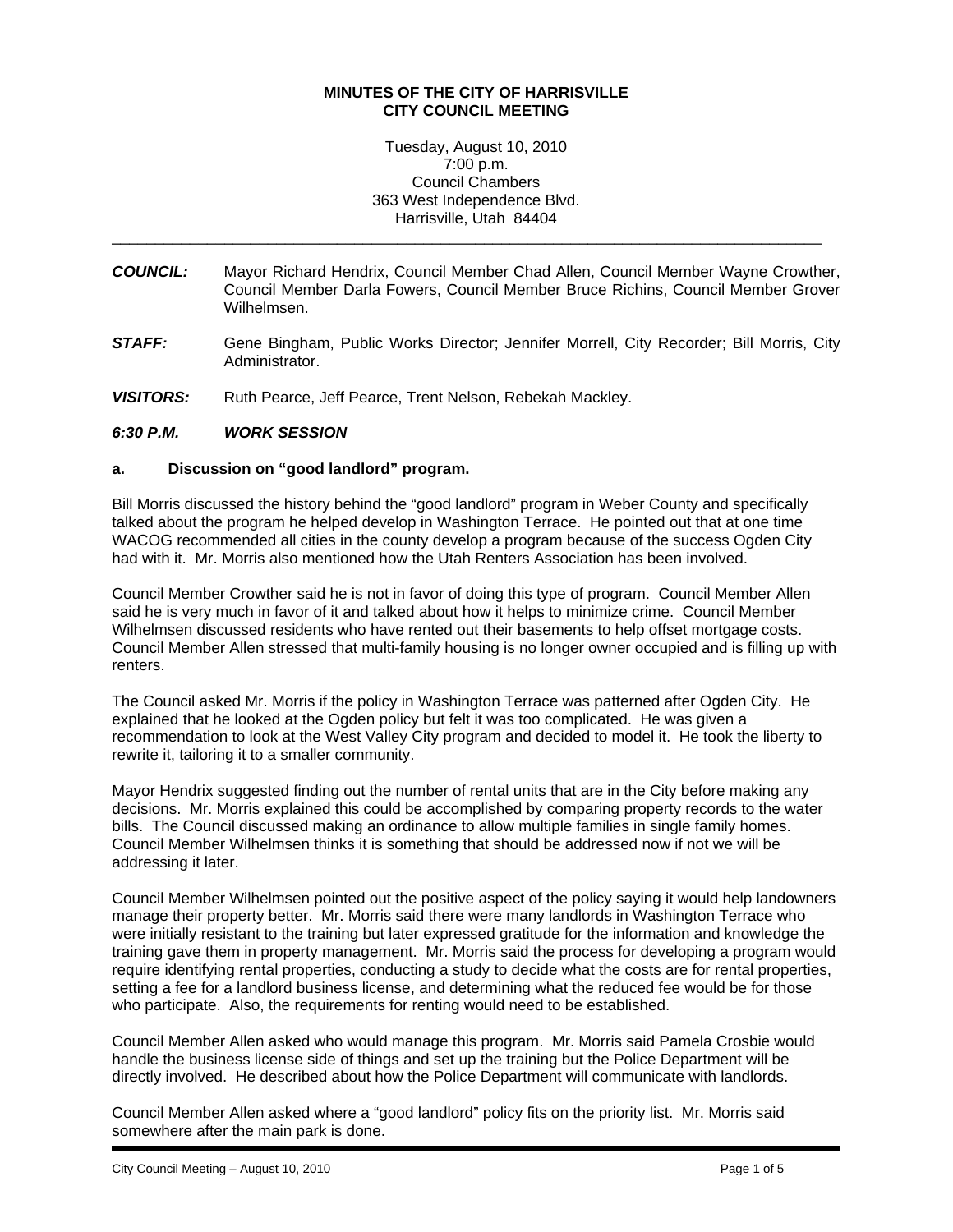### **MINUTES OF THE CITY OF HARRISVILLE CITY COUNCIL MEETING**

Tuesday, August 10, 2010 7:00 p.m. Council Chambers 363 West Independence Blvd. Harrisville, Utah 84404

\_\_\_\_\_\_\_\_\_\_\_\_\_\_\_\_\_\_\_\_\_\_\_\_\_\_\_\_\_\_\_\_\_\_\_\_\_\_\_\_\_\_\_\_\_\_\_\_\_\_\_\_\_\_\_\_\_\_\_\_\_\_\_\_\_\_\_\_\_\_\_\_\_\_\_\_\_\_\_\_\_\_

- *COUNCIL:* Mayor Richard Hendrix, Council Member Chad Allen, Council Member Wayne Crowther, Council Member Darla Fowers, Council Member Bruce Richins, Council Member Grover Wilhelmsen.
- *STAFF:* Gene Bingham, Public Works Director; Jennifer Morrell, City Recorder; Bill Morris, City Administrator.
- VISITORS: Ruth Pearce, Jeff Pearce, Trent Nelson, Rebekah Mackley.

## *6:30 P.M. WORK SESSION*

### **a. Discussion on "good landlord" program.**

Bill Morris discussed the history behind the "good landlord" program in Weber County and specifically talked about the program he helped develop in Washington Terrace. He pointed out that at one time WACOG recommended all cities in the county develop a program because of the success Ogden City had with it. Mr. Morris also mentioned how the Utah Renters Association has been involved.

Council Member Crowther said he is not in favor of doing this type of program. Council Member Allen said he is very much in favor of it and talked about how it helps to minimize crime. Council Member Wilhelmsen discussed residents who have rented out their basements to help offset mortgage costs. Council Member Allen stressed that multi-family housing is no longer owner occupied and is filling up with renters.

The Council asked Mr. Morris if the policy in Washington Terrace was patterned after Ogden City. He explained that he looked at the Ogden policy but felt it was too complicated. He was given a recommendation to look at the West Valley City program and decided to model it. He took the liberty to rewrite it, tailoring it to a smaller community.

Mayor Hendrix suggested finding out the number of rental units that are in the City before making any decisions. Mr. Morris explained this could be accomplished by comparing property records to the water bills. The Council discussed making an ordinance to allow multiple families in single family homes. Council Member Wilhelmsen thinks it is something that should be addressed now if not we will be addressing it later.

Council Member Wilhelmsen pointed out the positive aspect of the policy saying it would help landowners manage their property better. Mr. Morris said there were many landlords in Washington Terrace who were initially resistant to the training but later expressed gratitude for the information and knowledge the training gave them in property management. Mr. Morris said the process for developing a program would require identifying rental properties, conducting a study to decide what the costs are for rental properties, setting a fee for a landlord business license, and determining what the reduced fee would be for those who participate. Also, the requirements for renting would need to be established.

Council Member Allen asked who would manage this program. Mr. Morris said Pamela Crosbie would handle the business license side of things and set up the training but the Police Department will be directly involved. He described about how the Police Department will communicate with landlords.

Council Member Allen asked where a "good landlord" policy fits on the priority list. Mr. Morris said somewhere after the main park is done.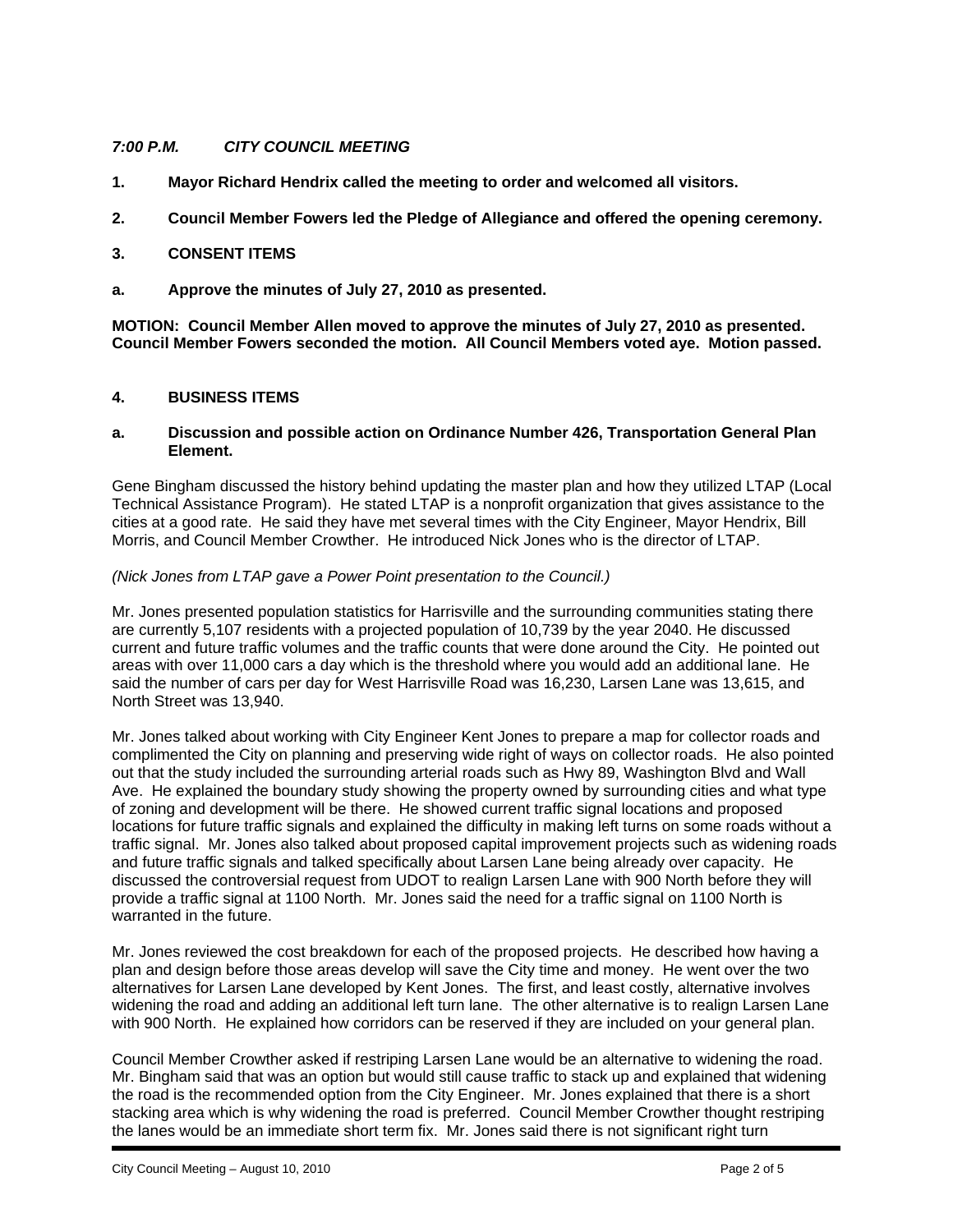# *7:00 P.M. CITY COUNCIL MEETING*

- **1. Mayor Richard Hendrix called the meeting to order and welcomed all visitors.**
- **2. Council Member Fowers led the Pledge of Allegiance and offered the opening ceremony.**

### **3. CONSENT ITEMS**

**a. Approve the minutes of July 27, 2010 as presented.** 

**MOTION: Council Member Allen moved to approve the minutes of July 27, 2010 as presented. Council Member Fowers seconded the motion. All Council Members voted aye. Motion passed.** 

## **4. BUSINESS ITEMS**

#### **a. Discussion and possible action on Ordinance Number 426, Transportation General Plan Element.**

Gene Bingham discussed the history behind updating the master plan and how they utilized LTAP (Local Technical Assistance Program). He stated LTAP is a nonprofit organization that gives assistance to the cities at a good rate. He said they have met several times with the City Engineer, Mayor Hendrix, Bill Morris, and Council Member Crowther. He introduced Nick Jones who is the director of LTAP.

### *(Nick Jones from LTAP gave a Power Point presentation to the Council.)*

Mr. Jones presented population statistics for Harrisville and the surrounding communities stating there are currently 5,107 residents with a projected population of 10,739 by the year 2040. He discussed current and future traffic volumes and the traffic counts that were done around the City. He pointed out areas with over 11,000 cars a day which is the threshold where you would add an additional lane. He said the number of cars per day for West Harrisville Road was 16,230, Larsen Lane was 13,615, and North Street was 13,940.

Mr. Jones talked about working with City Engineer Kent Jones to prepare a map for collector roads and complimented the City on planning and preserving wide right of ways on collector roads. He also pointed out that the study included the surrounding arterial roads such as Hwy 89, Washington Blvd and Wall Ave. He explained the boundary study showing the property owned by surrounding cities and what type of zoning and development will be there. He showed current traffic signal locations and proposed locations for future traffic signals and explained the difficulty in making left turns on some roads without a traffic signal. Mr. Jones also talked about proposed capital improvement projects such as widening roads and future traffic signals and talked specifically about Larsen Lane being already over capacity. He discussed the controversial request from UDOT to realign Larsen Lane with 900 North before they will provide a traffic signal at 1100 North. Mr. Jones said the need for a traffic signal on 1100 North is warranted in the future.

Mr. Jones reviewed the cost breakdown for each of the proposed projects. He described how having a plan and design before those areas develop will save the City time and money. He went over the two alternatives for Larsen Lane developed by Kent Jones. The first, and least costly, alternative involves widening the road and adding an additional left turn lane. The other alternative is to realign Larsen Lane with 900 North. He explained how corridors can be reserved if they are included on your general plan.

Council Member Crowther asked if restriping Larsen Lane would be an alternative to widening the road. Mr. Bingham said that was an option but would still cause traffic to stack up and explained that widening the road is the recommended option from the City Engineer. Mr. Jones explained that there is a short stacking area which is why widening the road is preferred. Council Member Crowther thought restriping the lanes would be an immediate short term fix. Mr. Jones said there is not significant right turn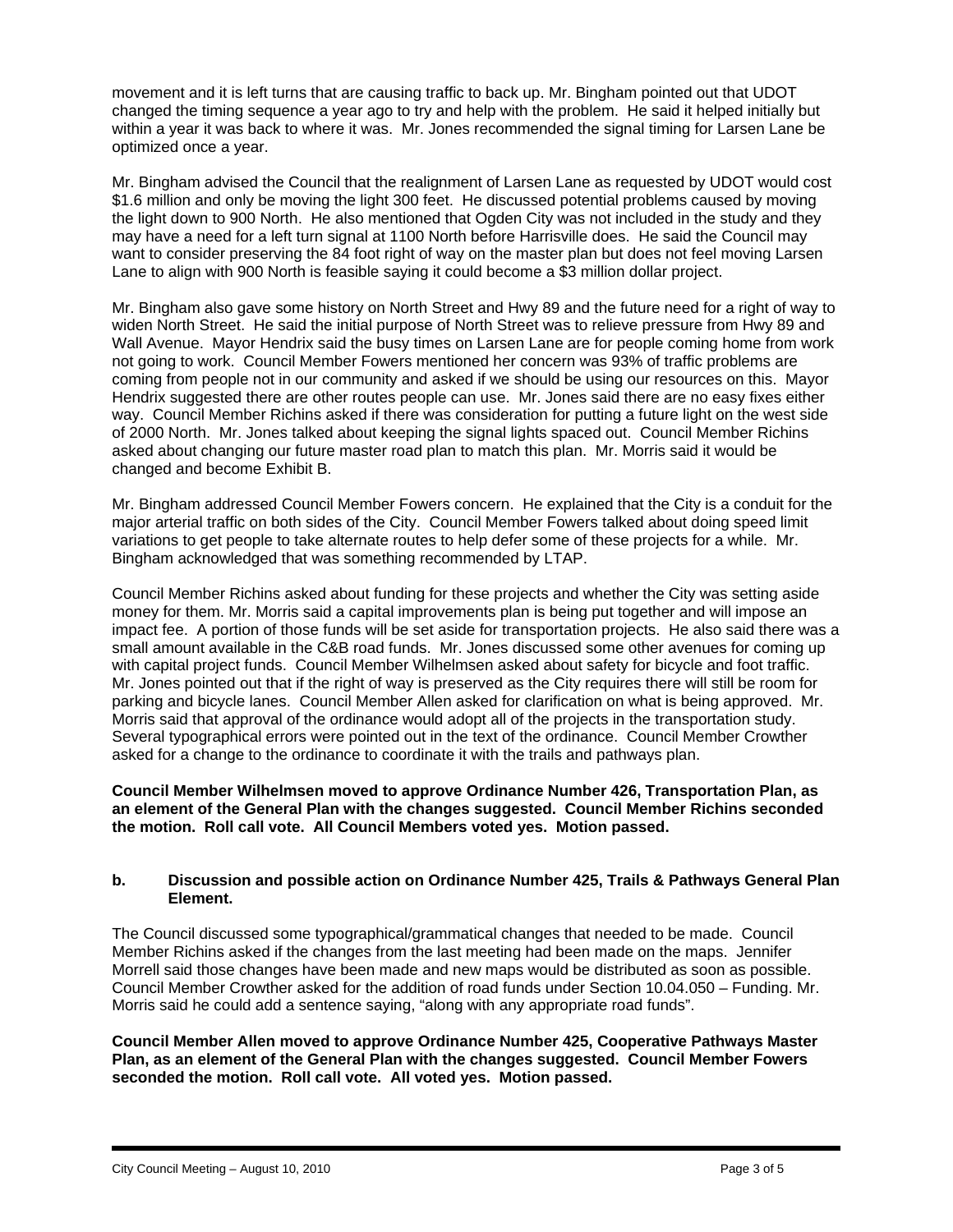movement and it is left turns that are causing traffic to back up. Mr. Bingham pointed out that UDOT changed the timing sequence a year ago to try and help with the problem. He said it helped initially but within a year it was back to where it was. Mr. Jones recommended the signal timing for Larsen Lane be optimized once a year.

Mr. Bingham advised the Council that the realignment of Larsen Lane as requested by UDOT would cost \$1.6 million and only be moving the light 300 feet. He discussed potential problems caused by moving the light down to 900 North. He also mentioned that Ogden City was not included in the study and they may have a need for a left turn signal at 1100 North before Harrisville does. He said the Council may want to consider preserving the 84 foot right of way on the master plan but does not feel moving Larsen Lane to align with 900 North is feasible saying it could become a \$3 million dollar project.

Mr. Bingham also gave some history on North Street and Hwy 89 and the future need for a right of way to widen North Street. He said the initial purpose of North Street was to relieve pressure from Hwy 89 and Wall Avenue. Mayor Hendrix said the busy times on Larsen Lane are for people coming home from work not going to work. Council Member Fowers mentioned her concern was 93% of traffic problems are coming from people not in our community and asked if we should be using our resources on this. Mayor Hendrix suggested there are other routes people can use. Mr. Jones said there are no easy fixes either way. Council Member Richins asked if there was consideration for putting a future light on the west side of 2000 North. Mr. Jones talked about keeping the signal lights spaced out. Council Member Richins asked about changing our future master road plan to match this plan. Mr. Morris said it would be changed and become Exhibit B.

Mr. Bingham addressed Council Member Fowers concern. He explained that the City is a conduit for the major arterial traffic on both sides of the City. Council Member Fowers talked about doing speed limit variations to get people to take alternate routes to help defer some of these projects for a while. Mr. Bingham acknowledged that was something recommended by LTAP.

Council Member Richins asked about funding for these projects and whether the City was setting aside money for them. Mr. Morris said a capital improvements plan is being put together and will impose an impact fee. A portion of those funds will be set aside for transportation projects. He also said there was a small amount available in the C&B road funds. Mr. Jones discussed some other avenues for coming up with capital project funds. Council Member Wilhelmsen asked about safety for bicycle and foot traffic. Mr. Jones pointed out that if the right of way is preserved as the City requires there will still be room for parking and bicycle lanes. Council Member Allen asked for clarification on what is being approved. Mr. Morris said that approval of the ordinance would adopt all of the projects in the transportation study. Several typographical errors were pointed out in the text of the ordinance. Council Member Crowther asked for a change to the ordinance to coordinate it with the trails and pathways plan.

**Council Member Wilhelmsen moved to approve Ordinance Number 426, Transportation Plan, as an element of the General Plan with the changes suggested. Council Member Richins seconded the motion. Roll call vote. All Council Members voted yes. Motion passed.** 

## **b. Discussion and possible action on Ordinance Number 425, Trails & Pathways General Plan Element.**

The Council discussed some typographical/grammatical changes that needed to be made. Council Member Richins asked if the changes from the last meeting had been made on the maps. Jennifer Morrell said those changes have been made and new maps would be distributed as soon as possible. Council Member Crowther asked for the addition of road funds under Section 10.04.050 – Funding. Mr. Morris said he could add a sentence saying, "along with any appropriate road funds".

**Council Member Allen moved to approve Ordinance Number 425, Cooperative Pathways Master Plan, as an element of the General Plan with the changes suggested. Council Member Fowers seconded the motion. Roll call vote. All voted yes. Motion passed.**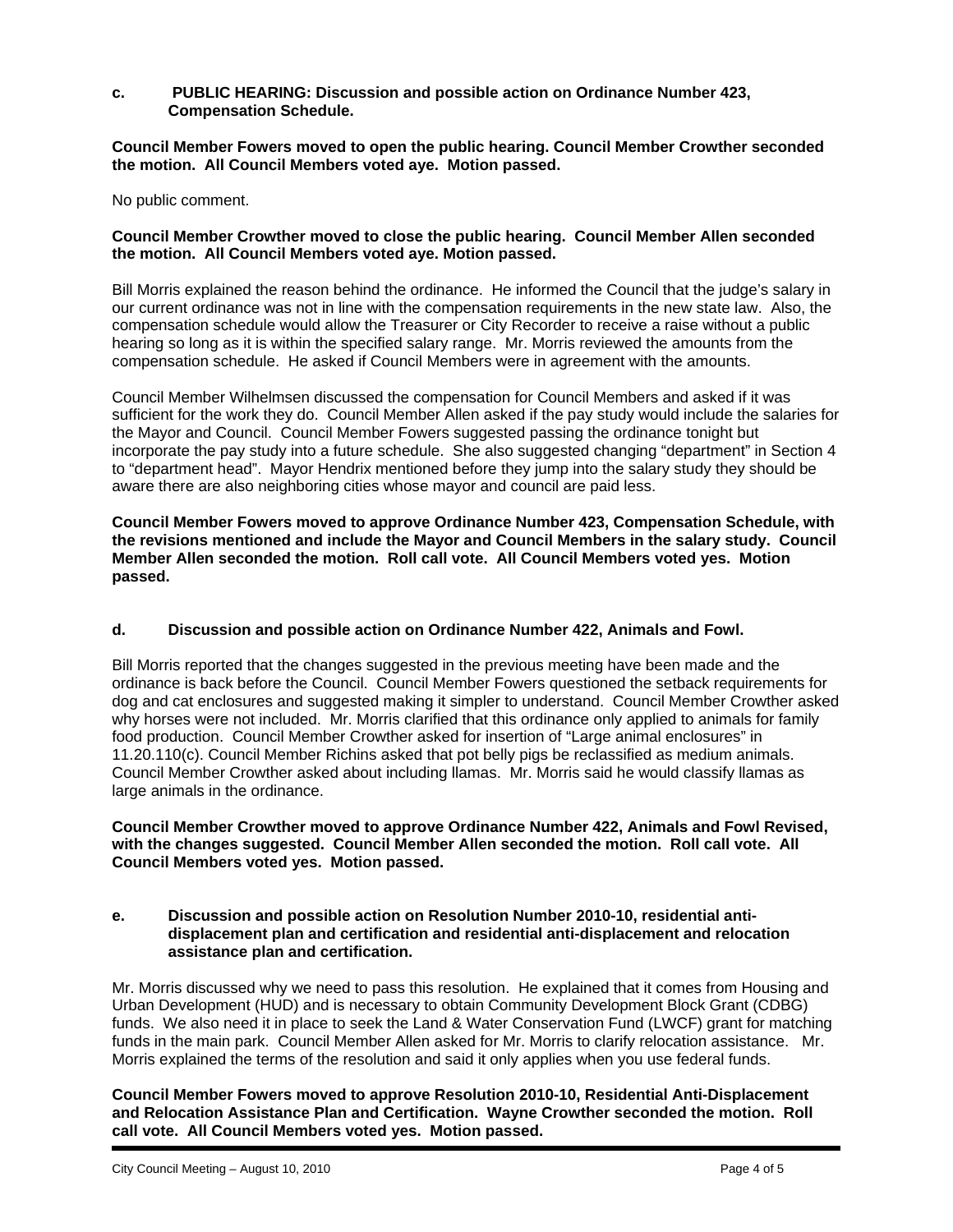### **c. PUBLIC HEARING: Discussion and possible action on Ordinance Number 423, Compensation Schedule.**

**Council Member Fowers moved to open the public hearing. Council Member Crowther seconded the motion. All Council Members voted aye. Motion passed.** 

No public comment.

### **Council Member Crowther moved to close the public hearing. Council Member Allen seconded the motion. All Council Members voted aye. Motion passed.**

Bill Morris explained the reason behind the ordinance. He informed the Council that the judge's salary in our current ordinance was not in line with the compensation requirements in the new state law. Also, the compensation schedule would allow the Treasurer or City Recorder to receive a raise without a public hearing so long as it is within the specified salary range. Mr. Morris reviewed the amounts from the compensation schedule. He asked if Council Members were in agreement with the amounts.

Council Member Wilhelmsen discussed the compensation for Council Members and asked if it was sufficient for the work they do. Council Member Allen asked if the pay study would include the salaries for the Mayor and Council. Council Member Fowers suggested passing the ordinance tonight but incorporate the pay study into a future schedule. She also suggested changing "department" in Section 4 to "department head". Mayor Hendrix mentioned before they jump into the salary study they should be aware there are also neighboring cities whose mayor and council are paid less.

**Council Member Fowers moved to approve Ordinance Number 423, Compensation Schedule, with the revisions mentioned and include the Mayor and Council Members in the salary study. Council Member Allen seconded the motion. Roll call vote. All Council Members voted yes. Motion passed.** 

### **d. Discussion and possible action on Ordinance Number 422, Animals and Fowl.**

Bill Morris reported that the changes suggested in the previous meeting have been made and the ordinance is back before the Council. Council Member Fowers questioned the setback requirements for dog and cat enclosures and suggested making it simpler to understand. Council Member Crowther asked why horses were not included. Mr. Morris clarified that this ordinance only applied to animals for family food production. Council Member Crowther asked for insertion of "Large animal enclosures" in 11.20.110(c). Council Member Richins asked that pot belly pigs be reclassified as medium animals. Council Member Crowther asked about including llamas. Mr. Morris said he would classify llamas as large animals in the ordinance.

**Council Member Crowther moved to approve Ordinance Number 422, Animals and Fowl Revised, with the changes suggested. Council Member Allen seconded the motion. Roll call vote. All Council Members voted yes. Motion passed.** 

### **e. Discussion and possible action on Resolution Number 2010-10, residential antidisplacement plan and certification and residential anti-displacement and relocation assistance plan and certification.**

Mr. Morris discussed why we need to pass this resolution. He explained that it comes from Housing and Urban Development (HUD) and is necessary to obtain Community Development Block Grant (CDBG) funds. We also need it in place to seek the Land & Water Conservation Fund (LWCF) grant for matching funds in the main park. Council Member Allen asked for Mr. Morris to clarify relocation assistance. Mr. Morris explained the terms of the resolution and said it only applies when you use federal funds.

**Council Member Fowers moved to approve Resolution 2010-10, Residential Anti-Displacement and Relocation Assistance Plan and Certification. Wayne Crowther seconded the motion. Roll call vote. All Council Members voted yes. Motion passed.**